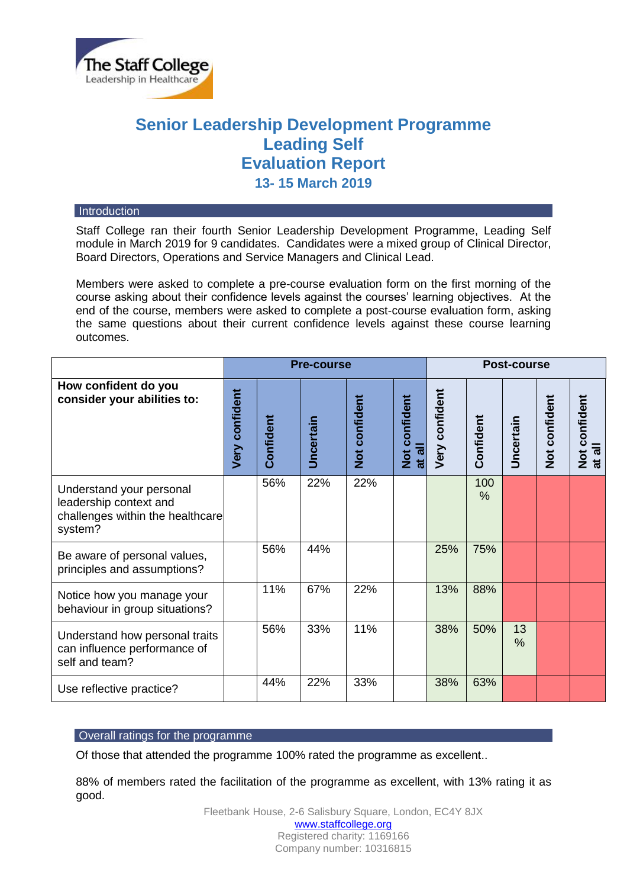

# **Senior Leadership Development Programme Leading Self Evaluation Report 13- 15 March 2019**

#### **Introduction**

Staff College ran their fourth Senior Leadership Development Programme, Leading Self module in March 2019 for 9 candidates. Candidates were a mixed group of Clinical Director, Board Directors, Operations and Service Managers and Clinical Lead.

Members were asked to complete a pre-course evaluation form on the first morning of the course asking about their confidence levels against the courses' learning objectives. At the end of the course, members were asked to complete a post-course evaluation form, asking the same questions about their current confidence levels against these course learning outcomes.

|                                                                                                   | <b>Pre-course</b>     |           |                  |               |                    | <b>Post-course</b> |           |                  |               |                                         |
|---------------------------------------------------------------------------------------------------|-----------------------|-----------|------------------|---------------|--------------------|--------------------|-----------|------------------|---------------|-----------------------------------------|
| How confident do you<br>consider your abilities to:                                               | <b>Very confident</b> | Confident | <b>Uncertain</b> | Not confident | Not confident<br>゠ | Very confident     | Confident | <b>Uncertain</b> | Not confident | Not confident<br>$\bar{a}$<br>$\vec{a}$ |
| Understand your personal<br>leadership context and<br>challenges within the healthcare<br>system? |                       | 56%       | 22%              | 22%           |                    |                    | 100<br>%  |                  |               |                                         |
| Be aware of personal values,<br>principles and assumptions?                                       |                       | 56%       | 44%              |               |                    | 25%                | 75%       |                  |               |                                         |
| Notice how you manage your<br>behaviour in group situations?                                      |                       | 11%       | 67%              | 22%           |                    | 13%                | 88%       |                  |               |                                         |
| Understand how personal traits<br>can influence performance of<br>self and team?                  |                       | 56%       | 33%              | 11%           |                    | 38%                | 50%       | 13<br>%          |               |                                         |
| Use reflective practice?                                                                          |                       | 44%       | 22%              | 33%           |                    | 38%                | 63%       |                  |               |                                         |

# Overall ratings for the programme

Of those that attended the programme 100% rated the programme as excellent..

88% of members rated the facilitation of the programme as excellent, with 13% rating it as good.

> Fleetbank House, 2-6 Salisbury Square, London, EC4Y 8JX [www.staffcollege.org](http://www.staffcollege.org/) Registered charity: 1169166 Company number: 10316815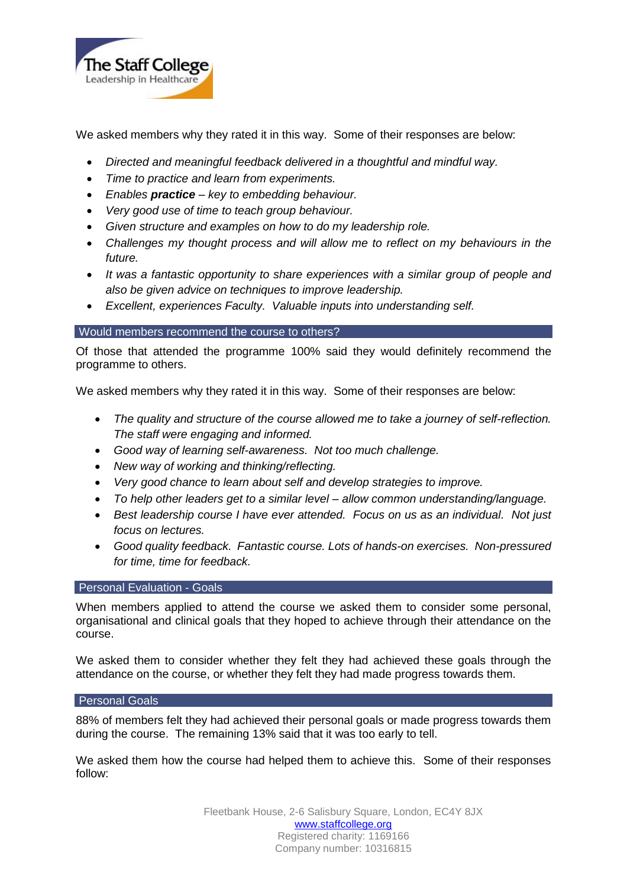

We asked members why they rated it in this way. Some of their responses are below:

- *Directed and meaningful feedback delivered in a thoughtful and mindful way.*
- *Time to practice and learn from experiments.*
- *Enables practice – key to embedding behaviour.*
- *Very good use of time to teach group behaviour.*
- *Given structure and examples on how to do my leadership role.*
- *Challenges my thought process and will allow me to reflect on my behaviours in the future.*
- *It was a fantastic opportunity to share experiences with a similar group of people and also be given advice on techniques to improve leadership.*
- *Excellent, experiences Faculty. Valuable inputs into understanding self.*

## Would members recommend the course to others?

Of those that attended the programme 100% said they would definitely recommend the programme to others.

We asked members why they rated it in this way. Some of their responses are below:

- *The quality and structure of the course allowed me to take a journey of self-reflection. The staff were engaging and informed.*
- *Good way of learning self-awareness. Not too much challenge.*
- *New way of working and thinking/reflecting.*
- *Very good chance to learn about self and develop strategies to improve.*
- *To help other leaders get to a similar level – allow common understanding/language.*
- *Best leadership course I have ever attended. Focus on us as an individual. Not just focus on lectures.*
- *Good quality feedback. Fantastic course. Lots of hands-on exercises. Non-pressured for time, time for feedback.*

# **Personal Evaluation - Goals**

When members applied to attend the course we asked them to consider some personal, organisational and clinical goals that they hoped to achieve through their attendance on the course.

We asked them to consider whether they felt they had achieved these goals through the attendance on the course, or whether they felt they had made progress towards them.

#### Personal Goals

88% of members felt they had achieved their personal goals or made progress towards them during the course. The remaining 13% said that it was too early to tell.

We asked them how the course had helped them to achieve this. Some of their responses follow: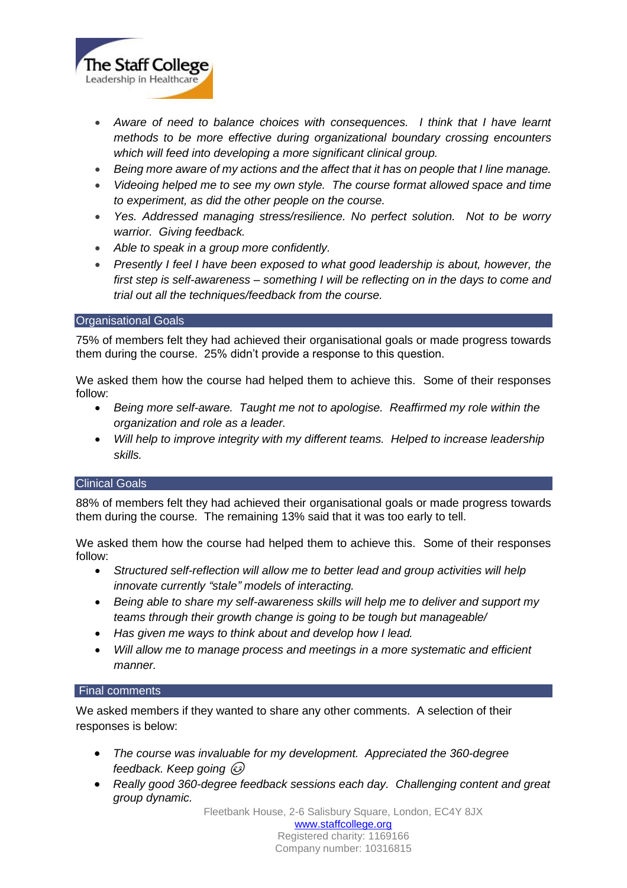

- Aware of need to balance choices with consequences. I think that I have learnt *methods to be more effective during organizational boundary crossing encounters which will feed into developing a more significant clinical group.*
- *Being more aware of my actions and the affect that it has on people that I line manage.*
- *Videoing helped me to see my own style. The course format allowed space and time to experiment, as did the other people on the course.*
- *Yes. Addressed managing stress/resilience. No perfect solution. Not to be worry warrior. Giving feedback.*
- *Able to speak in a group more confidently.*
- *Presently I feel I have been exposed to what good leadership is about, however, the first step is self-awareness – something I will be reflecting on in the days to come and trial out all the techniques/feedback from the course.*

#### Organisational Goals

75% of members felt they had achieved their organisational goals or made progress towards them during the course. 25% didn't provide a response to this question.

We asked them how the course had helped them to achieve this. Some of their responses follow:

- *Being more self-aware. Taught me not to apologise. Reaffirmed my role within the organization and role as a leader.*
- *Will help to improve integrity with my different teams. Helped to increase leadership skills.*

#### Clinical Goals

88% of members felt they had achieved their organisational goals or made progress towards them during the course. The remaining 13% said that it was too early to tell.

We asked them how the course had helped them to achieve this. Some of their responses follow:

- *Structured self-reflection will allow me to better lead and group activities will help innovate currently "stale" models of interacting.*
- *Being able to share my self-awareness skills will help me to deliver and support my teams through their growth change is going to be tough but manageable/*
- *Has given me ways to think about and develop how I lead.*
- *Will allow me to manage process and meetings in a more systematic and efficient manner.*

### Final comments

We asked members if they wanted to share any other comments. A selection of their responses is below:

- *The course was invaluable for my development. Appreciated the 360-degree feedback. Keep going*
- *Really good 360-degree feedback sessions each day. Challenging content and great group dynamic.*

Fleetbank House, 2-6 Salisbury Square, London, EC4Y 8JX

[www.staffcollege.org](http://www.staffcollege.org/) Registered charity: 1169166 Company number: 10316815